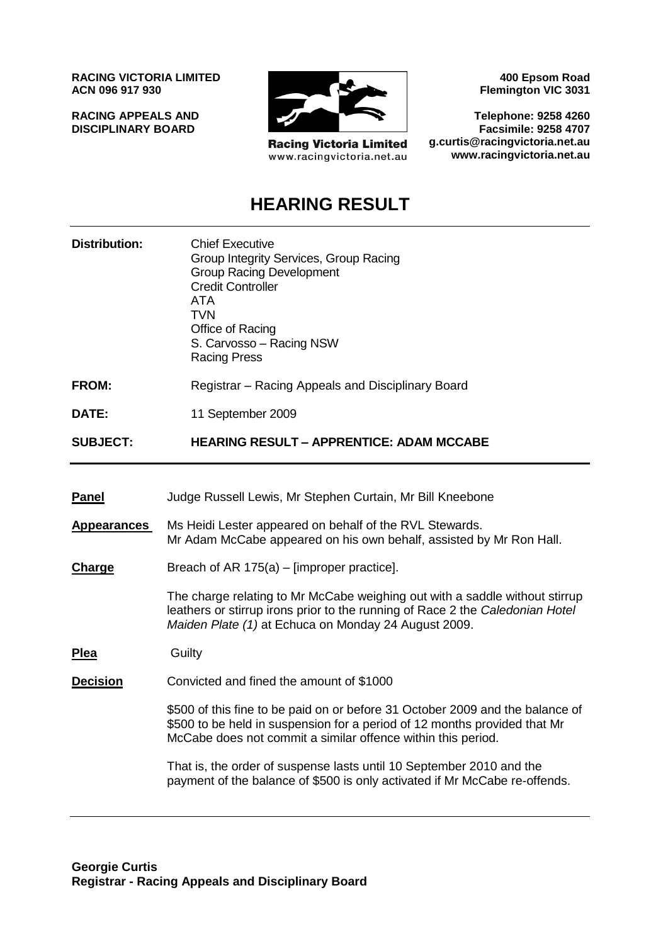**RACING VICTORIA LIMITED ACN 096 917 930**

**RACING APPEALS AND DISCIPLINARY BOARD**



**Racing Victoria Limited** www.racingvictoria.net.au

**400 Epsom Road Flemington VIC 3031**

**Telephone: 9258 4260 Facsimile: 9258 4707 g.curtis@racingvictoria.net.au www.racingvictoria.net.au**

# **HEARING RESULT**

| Distribution: | <b>Chief Executive</b><br>Group Integrity Services, Group Racing<br><b>Group Racing Development</b><br><b>Credit Controller</b><br>ATA<br>TVN<br>Office of Racing<br>S. Carvosso - Racing NSW |
|---------------|-----------------------------------------------------------------------------------------------------------------------------------------------------------------------------------------------|
|               | <b>Racing Press</b>                                                                                                                                                                           |

- **FROM:** Registrar Racing Appeals and Disciplinary Board
- **DATE:** 11 September 2009

**SUBJECT: HEARING RESULT – APPRENTICE: ADAM MCCABE**

- **Panel** Judge Russell Lewis, Mr Stephen Curtain, Mr Bill Kneebone
- **Appearances** Ms Heidi Lester appeared on behalf of the RVL Stewards. Mr Adam McCabe appeared on his own behalf, assisted by Mr Ron Hall.
- **Charge** Breach of AR 175(a) [improper practice].

The charge relating to Mr McCabe weighing out with a saddle without stirrup leathers or stirrup irons prior to the running of Race 2 the *Caledonian Hotel Maiden Plate (1)* at Echuca on Monday 24 August 2009.

**Plea** Guilty

**Decision** Convicted and fined the amount of \$1000

\$500 of this fine to be paid on or before 31 October 2009 and the balance of \$500 to be held in suspension for a period of 12 months provided that Mr McCabe does not commit a similar offence within this period.

That is, the order of suspense lasts until 10 September 2010 and the payment of the balance of \$500 is only activated if Mr McCabe re-offends.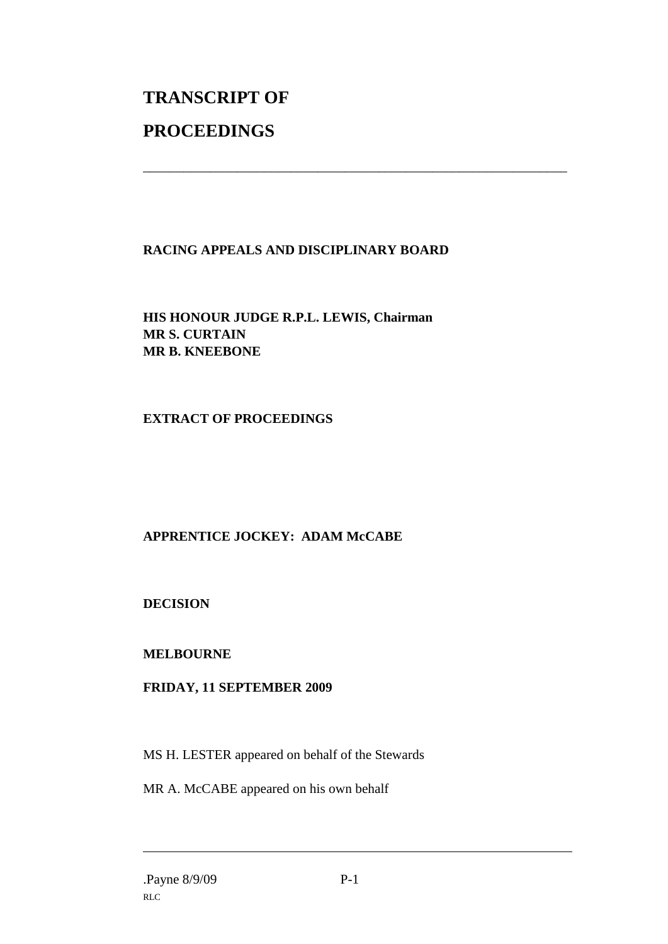# **TRANSCRIPT OF PROCEEDINGS**

# **RACING APPEALS AND DISCIPLINARY BOARD**

\_\_\_\_\_\_\_\_\_\_\_\_\_\_\_\_\_\_\_\_\_\_\_\_\_\_\_\_\_\_\_\_\_\_\_\_\_\_\_\_\_\_\_\_\_\_\_\_\_\_\_\_\_\_\_\_\_\_\_\_\_\_\_

**HIS HONOUR JUDGE R.P.L. LEWIS, Chairman MR S. CURTAIN MR B. KNEEBONE**

# **EXTRACT OF PROCEEDINGS**

# **APPRENTICE JOCKEY: ADAM McCABE**

**DECISION**

# **MELBOURNE**

# **FRIDAY, 11 SEPTEMBER 2009**

MS H. LESTER appeared on behalf of the Stewards

MR A. McCABE appeared on his own behalf